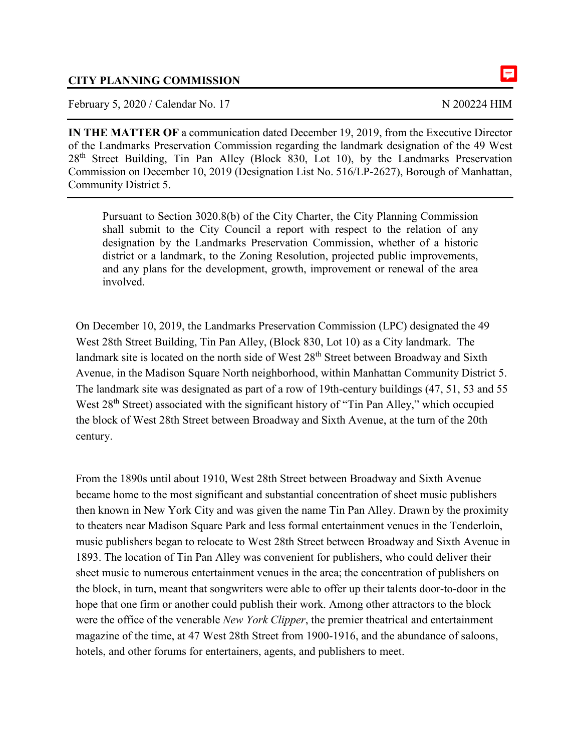## **CITY PLANNING COMMISSION**

February 5, 2020 / Calendar No. 17 N 200224 HIM

**IN THE MATTER OF** a communication dated December 19, 2019, from the Executive Director of the Landmarks Preservation Commission regarding the landmark designation of the 49 West 28<sup>th</sup> Street Building, Tin Pan Alley (Block 830, Lot 10), by the Landmarks Preservation Commission on December 10, 2019 (Designation List No. 516/LP-2627), Borough of Manhattan, Community District 5.

Pursuant to Section 3020.8(b) of the City Charter, the City Planning Commission shall submit to the City Council a report with respect to the relation of any designation by the Landmarks Preservation Commission, whether of a historic district or a landmark, to the Zoning Resolution, projected public improvements, and any plans for the development, growth, improvement or renewal of the area involved.

On December 10, 2019, the Landmarks Preservation Commission (LPC) designated the 49 West 28th Street Building, Tin Pan Alley, (Block 830, Lot 10) as a City landmark. The landmark site is located on the north side of West 28<sup>th</sup> Street between Broadway and Sixth Avenue, in the Madison Square North neighborhood, within Manhattan Community District 5. The landmark site was designated as part of a row of 19th-century buildings (47, 51, 53 and 55 West 28<sup>th</sup> Street) associated with the significant history of "Tin Pan Alley," which occupied the block of West 28th Street between Broadway and Sixth Avenue, at the turn of the 20th century.

From the 1890s until about 1910, West 28th Street between Broadway and Sixth Avenue became home to the most significant and substantial concentration of sheet music publishers then known in New York City and was given the name Tin Pan Alley. Drawn by the proximity to theaters near Madison Square Park and less formal entertainment venues in the Tenderloin, music publishers began to relocate to West 28th Street between Broadway and Sixth Avenue in 1893. The location of Tin Pan Alley was convenient for publishers, who could deliver their sheet music to numerous entertainment venues in the area; the concentration of publishers on the block, in turn, meant that songwriters were able to offer up their talents door-to-door in the hope that one firm or another could publish their work. Among other attractors to the block were the office of the venerable *New York Clipper*, the premier theatrical and entertainment magazine of the time, at 47 West 28th Street from 1900-1916, and the abundance of saloons, hotels, and other forums for entertainers, agents, and publishers to meet.

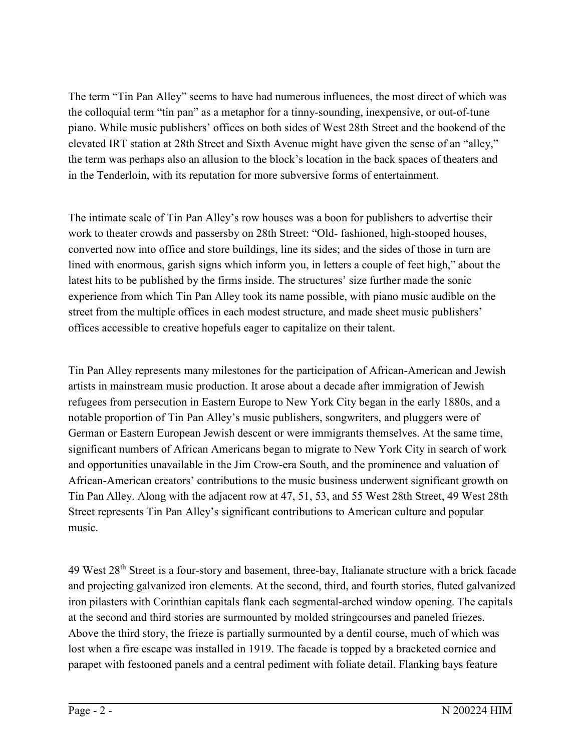The term "Tin Pan Alley" seems to have had numerous influences, the most direct of which was the colloquial term "tin pan" as a metaphor for a tinny-sounding, inexpensive, or out-of-tune piano. While music publishers' offices on both sides of West 28th Street and the bookend of the elevated IRT station at 28th Street and Sixth Avenue might have given the sense of an "alley," the term was perhaps also an allusion to the block's location in the back spaces of theaters and in the Tenderloin, with its reputation for more subversive forms of entertainment.

The intimate scale of Tin Pan Alley's row houses was a boon for publishers to advertise their work to theater crowds and passersby on 28th Street: "Old- fashioned, high-stooped houses, converted now into office and store buildings, line its sides; and the sides of those in turn are lined with enormous, garish signs which inform you, in letters a couple of feet high," about the latest hits to be published by the firms inside. The structures' size further made the sonic experience from which Tin Pan Alley took its name possible, with piano music audible on the street from the multiple offices in each modest structure, and made sheet music publishers' offices accessible to creative hopefuls eager to capitalize on their talent.

Tin Pan Alley represents many milestones for the participation of African-American and Jewish artists in mainstream music production. It arose about a decade after immigration of Jewish refugees from persecution in Eastern Europe to New York City began in the early 1880s, and a notable proportion of Tin Pan Alley's music publishers, songwriters, and pluggers were of German or Eastern European Jewish descent or were immigrants themselves. At the same time, significant numbers of African Americans began to migrate to New York City in search of work and opportunities unavailable in the Jim Crow-era South, and the prominence and valuation of African-American creators' contributions to the music business underwent significant growth on Tin Pan Alley. Along with the adjacent row at 47, 51, 53, and 55 West 28th Street, 49 West 28th Street represents Tin Pan Alley's significant contributions to American culture and popular music.

49 West 28th Street is a four-story and basement, three-bay, Italianate structure with a brick facade and projecting galvanized iron elements. At the second, third, and fourth stories, fluted galvanized iron pilasters with Corinthian capitals flank each segmental-arched window opening. The capitals at the second and third stories are surmounted by molded stringcourses and paneled friezes. Above the third story, the frieze is partially surmounted by a dentil course, much of which was lost when a fire escape was installed in 1919. The facade is topped by a bracketed cornice and parapet with festooned panels and a central pediment with foliate detail. Flanking bays feature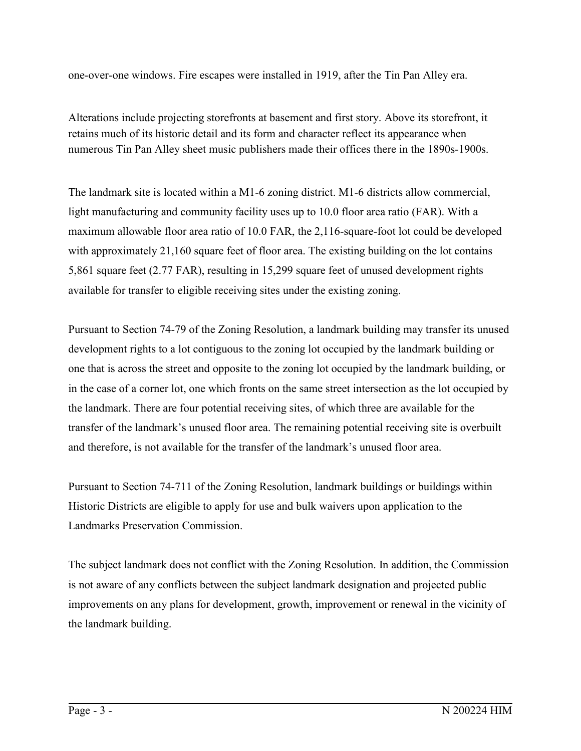one-over-one windows. Fire escapes were installed in 1919, after the Tin Pan Alley era.

Alterations include projecting storefronts at basement and first story. Above its storefront, it retains much of its historic detail and its form and character reflect its appearance when numerous Tin Pan Alley sheet music publishers made their offices there in the 1890s-1900s.

The landmark site is located within a M1-6 zoning district. M1-6 districts allow commercial, light manufacturing and community facility uses up to 10.0 floor area ratio (FAR). With a maximum allowable floor area ratio of 10.0 FAR, the 2,116-square-foot lot could be developed with approximately 21,160 square feet of floor area. The existing building on the lot contains 5,861 square feet (2.77 FAR), resulting in 15,299 square feet of unused development rights available for transfer to eligible receiving sites under the existing zoning.

Pursuant to Section 74-79 of the Zoning Resolution, a landmark building may transfer its unused development rights to a lot contiguous to the zoning lot occupied by the landmark building or one that is across the street and opposite to the zoning lot occupied by the landmark building, or in the case of a corner lot, one which fronts on the same street intersection as the lot occupied by the landmark. There are four potential receiving sites, of which three are available for the transfer of the landmark's unused floor area. The remaining potential receiving site is overbuilt and therefore, is not available for the transfer of the landmark's unused floor area.

Pursuant to Section 74-711 of the Zoning Resolution, landmark buildings or buildings within Historic Districts are eligible to apply for use and bulk waivers upon application to the Landmarks Preservation Commission.

The subject landmark does not conflict with the Zoning Resolution. In addition, the Commission is not aware of any conflicts between the subject landmark designation and projected public improvements on any plans for development, growth, improvement or renewal in the vicinity of the landmark building.